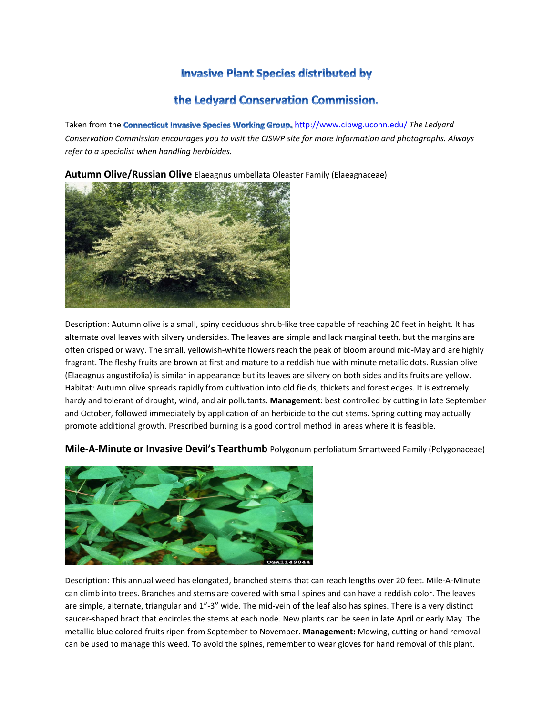## **Invasive Plant Species distributed by**

## the Ledyard Conservation Commission.

Taken from the **Connecticut Invasive Species Working Group**, http://www.cipwg.uconn.edu/ The Ledyard *Conservation Commission encourages you to visit the CISWP site for more information and photographs. Always refer to a specialist when handling herbicides.*

**Autumn Olive/Russian Olive** Elaeagnus umbellata Oleaster Family (Elaeagnaceae)



Description: Autumn olive is a small, spiny deciduous shrub‐like tree capable of reaching 20 feet in height. It has alternate oval leaves with silvery undersides. The leaves are simple and lack marginal teeth, but the margins are often crisped or wavy. The small, yellowish‐white flowers reach the peak of bloom around mid‐May and are highly fragrant. The fleshy fruits are brown at first and mature to a reddish hue with minute metallic dots. Russian olive (Elaeagnus angustifolia) is similar in appearance but its leaves are silvery on both sides and its fruits are yellow. Habitat: Autumn olive spreads rapidly from cultivation into old fields, thickets and forest edges. It is extremely hardy and tolerant of drought, wind, and air pollutants. **Management**: best controlled by cutting in late September and October, followed immediately by application of an herbicide to the cut stems. Spring cutting may actually promote additional growth. Prescribed burning is a good control method in areas where it is feasible.



**Mile‐A‐Minute or Invasive Devil's Tearthumb** Polygonum perfoliatum Smartweed Family (Polygonaceae)

Description: This annual weed has elongated, branched stems that can reach lengths over 20 feet. Mile‐A‐Minute can climb into trees. Branches and stems are covered with small spines and can have a reddish color. The leaves are simple, alternate, triangular and 1"-3" wide. The mid-vein of the leaf also has spines. There is a very distinct saucer-shaped bract that encircles the stems at each node. New plants can be seen in late April or early May. The metallic‐blue colored fruits ripen from September to November. **Management:** Mowing, cutting or hand removal can be used to manage this weed. To avoid the spines, remember to wear gloves for hand removal of this plant.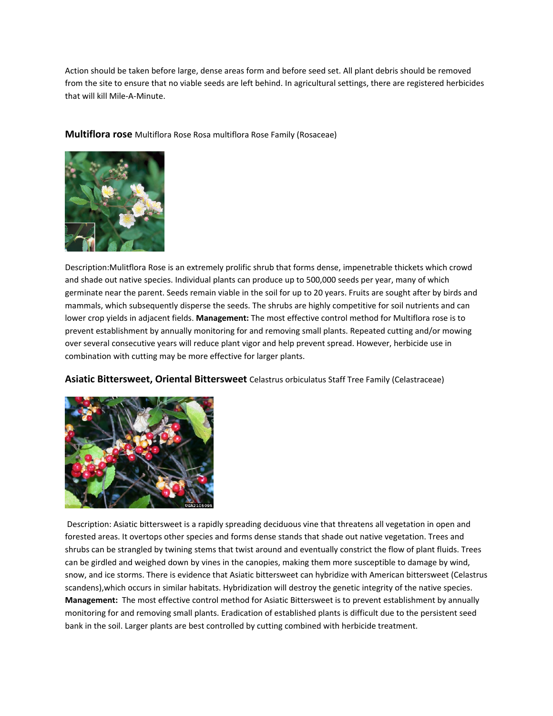Action should be taken before large, dense areas form and before seed set. All plant debris should be removed from the site to ensure that no viable seeds are left behind. In agricultural settings, there are registered herbicides that will kill Mile‐A‐Minute.

**Multiflora rose** Multiflora Rose Rosa multiflora Rose Family (Rosaceae)



Description:Mulitflora Rose is an extremely prolific shrub that forms dense, impenetrable thickets which crowd and shade out native species. Individual plants can produce up to 500,000 seeds per year, many of which germinate near the parent. Seeds remain viable in the soil for up to 20 years. Fruits are sought after by birds and mammals, which subsequently disperse the seeds. The shrubs are highly competitive for soil nutrients and can lower crop yields in adjacent fields. **Management:** The most effective control method for Multiflora rose is to prevent establishment by annually monitoring for and removing small plants. Repeated cutting and/or mowing over several consecutive years will reduce plant vigor and help prevent spread. However, herbicide use in combination with cutting may be more effective for larger plants.

**Asiatic Bittersweet, Oriental Bittersweet** Celastrus orbiculatus Staff Tree Family (Celastraceae)



Description: Asiatic bittersweet is a rapidly spreading deciduous vine that threatens all vegetation in open and forested areas. It overtops other species and forms dense stands that shade out native vegetation. Trees and shrubs can be strangled by twining stems that twist around and eventually constrict the flow of plant fluids. Trees can be girdled and weighed down by vines in the canopies, making them more susceptible to damage by wind, snow, and ice storms. There is evidence that Asiatic bittersweet can hybridize with American bittersweet (Celastrus scandens),which occurs in similar habitats. Hybridization will destroy the genetic integrity of the native species. **Management:** The most effective control method for Asiatic Bittersweet is to prevent establishment by annually monitoring for and removing small plants. Eradication of established plants is difficult due to the persistent seed bank in the soil. Larger plants are best controlled by cutting combined with herbicide treatment.